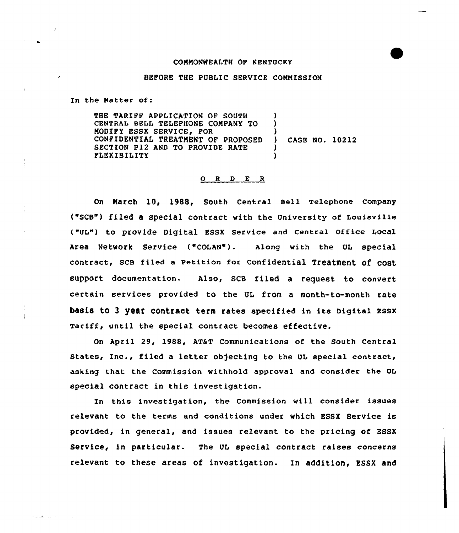## COMMONWEALTH OF KENTUCKY

## BEFORE THE PUBLIC SERVICE COMMISSION

In the Natter of:

المحاولات القفاريقات

THE TARIFF APPLICATION OF SOUTH CENTRAL BELL TELEPHONE COMPANY TO MODIFY ESSX SERVICE, FOR CONFIDENTIAL TREATMENT OF PROPOSED SECTION P12 AND TO PROVIDE RATE FLEXIBILITY ) ) ) ) CASE NO. 10212 ) )

## $O$  R  $D$  E R

On March 10, 1988, South Central sell Telephone Company ("scB") filed a special contract with the University of Louisville ("UL") to provide Digital ESSX Service end central Office Local Area Network service ("coLAN"). Along with the UL special contract, scs filed a Petition for confidential Treatment" of cost support documentation. Also, SCB filed a request to convert certain services provided to the UL from a month-to-month rate basis to <sup>3</sup> year contract term rates specified in its Digital Bssx Tariff, until the special contract becomes effective.

On April 29, 1988, AT&T Communications of the South Central States, Inc., filed a letter objecting to the UL special contract, asking that the Commission withhold approval and consider the QL special contract in this investigation.

In this investigation, the Commission will consider issues relevant to the terms and conditions under which ESSX Service is provided, in general, and issues relevant to the pricing of ESSX Service, in particular. The UL special contract raises concerns relevant to these areas of investigation. In addition, ESSX and

 $\sim 10^{-1}$  . The contract mass of the same  $\sim 10^{-1}$